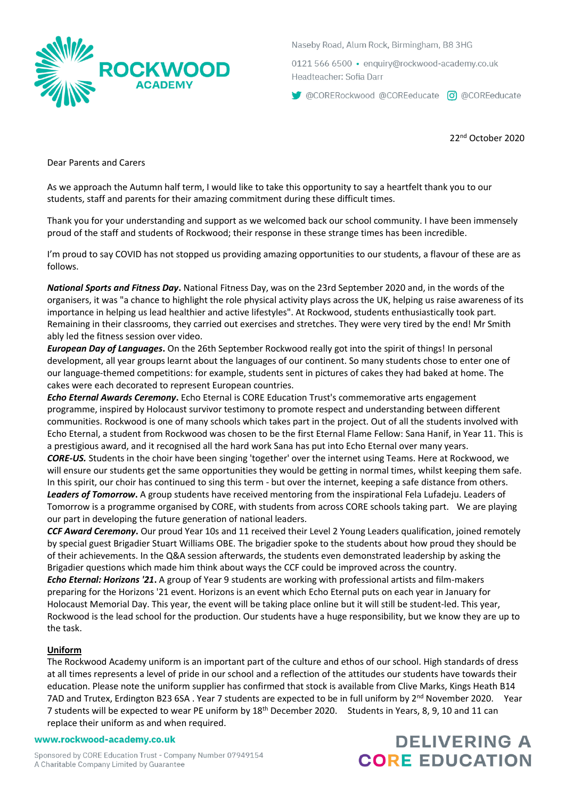

Naseby Road, Alum Rock, Birmingham, B8 3HG

0121 566 6500 · enquiry@rockwood-academy.co.uk Headteacher: Sofia Darr

CORERockwood @COREeducate co @COREeducate

22nd October 2020

Dear Parents and Carers

As we approach the Autumn half term, I would like to take this opportunity to say a heartfelt thank you to our students, staff and parents for their amazing commitment during these difficult times.

Thank you for your understanding and support as we welcomed back our school community. I have been immensely proud of the staff and students of Rockwood; their response in these strange times has been incredible.

I'm proud to say COVID has not stopped us providing amazing opportunities to our students, a flavour of these are as follows.

*National Sports and Fitness Day***.** National Fitness Day, was on the 23rd September 2020 and, in the words of the organisers, it was "a chance to highlight the role physical activity plays across the UK, helping us raise awareness of its importance in helping us lead healthier and active lifestyles". At Rockwood, students enthusiastically took part. Remaining in their classrooms, they carried out exercises and stretches. They were very tired by the end! Mr Smith ably led the fitness session over video.

*European Day of Languages***.** On the 26th September Rockwood really got into the spirit of things! In personal development, all year groups learnt about the languages of our continent. So many students chose to enter one of our language-themed competitions: for example, students sent in pictures of cakes they had baked at home. The cakes were each decorated to represent European countries.

*Echo Eternal Awards Ceremony***.** Echo Eternal is CORE Education Trust's commemorative arts engagement programme, inspired by Holocaust survivor testimony to promote respect and understanding between different communities. Rockwood is one of many schools which takes part in the project. Out of all the students involved with Echo Eternal, a student from Rockwood was chosen to be the first Eternal Flame Fellow: Sana Hanif, in Year 11. This is a prestigious award, and it recognised all the hard work Sana has put into Echo Eternal over many years.

*CORE-US.* Students in the choir have been singing 'together' over the internet using Teams. Here at Rockwood, we will ensure our students get the same opportunities they would be getting in normal times, whilst keeping them safe. In this spirit, our choir has continued to sing this term - but over the internet, keeping a safe distance from others. *Leaders of Tomorrow***.** A group students have received mentoring from the inspirational Fela Lufadeju. Leaders of

Tomorrow is a programme organised by CORE, with students from across CORE schools taking part. We are playing our part in developing the future generation of national leaders.

*CCF Award Ceremony***.** Our proud Year 10s and 11 received their Level 2 Young Leaders qualification, joined remotely by special guest Brigadier Stuart Williams OBE. The brigadier spoke to the students about how proud they should be of their achievements. In the Q&A session afterwards, the students even demonstrated leadership by asking the Brigadier questions which made him think about ways the CCF could be improved across the country.

*Echo Eternal: Horizons '21***.** A group of Year 9 students are working with professional artists and film-makers preparing for the Horizons '21 event. Horizons is an event which Echo Eternal puts on each year in January for Holocaust Memorial Day. This year, the event will be taking place online but it will still be student-led. This year, Rockwood is the lead school for the production. Our students have a huge responsibility, but we know they are up to the task.

## **Uniform**

The Rockwood Academy uniform is an important part of the culture and ethos of our school. High standards of dress at all times represents a level of pride in our school and a reflection of the attitudes our students have towards their education. Please note the uniform supplier has confirmed that stock is available from Clive Marks, Kings Heath B14 7AD and Trutex, Erdington B23 6SA . Year 7 students are expected to be in full uniform by 2<sup>nd</sup> November 2020. Year 7 students will be expected to wear PE uniform by 18<sup>th</sup> December 2020. Students in Years, 8, 9, 10 and 11 can replace their uniform as and when required.

#### www.rockwood-academy.co.uk